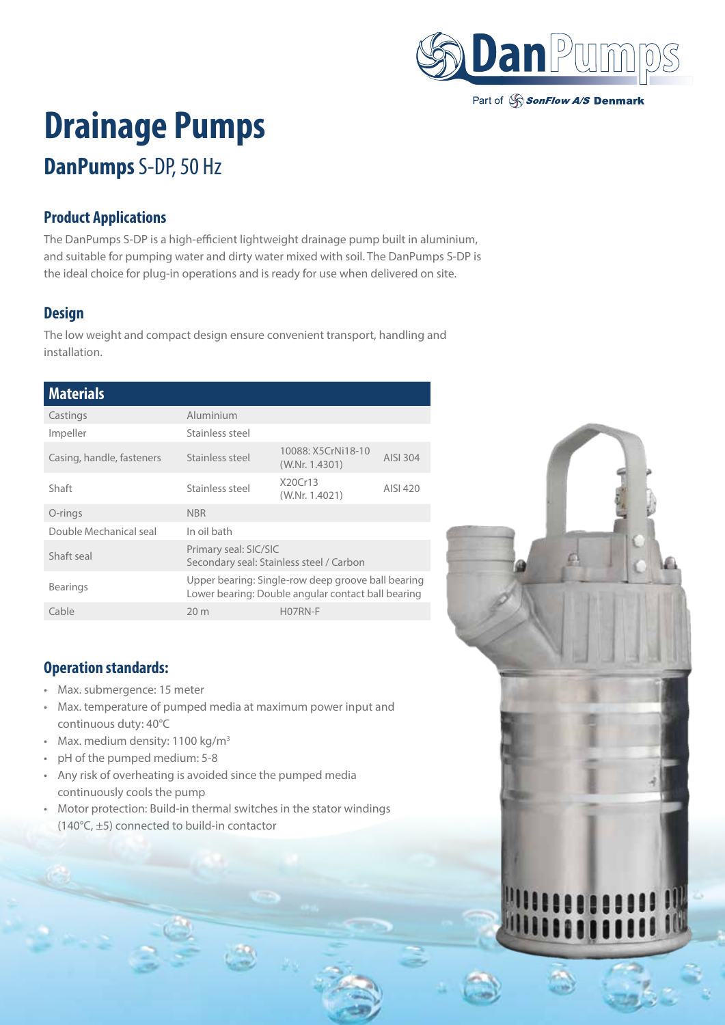

Part of SonFlow A/S Denmark

# **Drainage Pumps**

# **DanPumps** S-DP, 50 Hz

### **Product Applications**

The DanPumps S-DP is a high-efficient lightweight drainage pump built in aluminium, and suitable for pumping water and dirty water mixed with soil. The DanPumps S-DP is the ideal choice for plug-in operations and is ready for use when delivered on site.

## **Design**

The low weight and compact design ensure convenient transport, handling and installation.

#### **Materials**

| Castings                  | Aluminium                                                                                                |                                      |          |
|---------------------------|----------------------------------------------------------------------------------------------------------|--------------------------------------|----------|
| Impeller                  | Stainless steel                                                                                          |                                      |          |
| Casing, handle, fasteners | Stainless steel                                                                                          | 10088: X5CrNi18-10<br>(W.Nr. 1.4301) | AISI 304 |
| Shaft                     | Stainless steel                                                                                          | X20Cr13<br>(W.Nr. 1.4021)            | AISI 420 |
| O-rings                   | <b>NBR</b>                                                                                               |                                      |          |
| Double Mechanical seal    | In oil bath                                                                                              |                                      |          |
| Shaft seal                | Primary seal: SIC/SIC<br>Secondary seal: Stainless steel / Carbon                                        |                                      |          |
| <b>Bearings</b>           | Upper bearing: Single-row deep groove ball bearing<br>Lower bearing: Double angular contact ball bearing |                                      |          |
| Cable                     | 20 <sub>m</sub>                                                                                          | H07RN-F                              |          |
|                           |                                                                                                          |                                      |          |

#### **Operation standards:**

- Max. submergence: 15 meter
- Max. temperature of pumped media at maximum power input and continuous duty: 40°C
- Max. medium density:  $1100 \text{ kg/m}^3$
- pH of the pumped medium: 5-8
- Any risk of overheating is avoided since the pumped media continuously cools the pump
- Motor protection: Build-in thermal switches in the stator windings (140°C, ±5) connected to build-in contactor